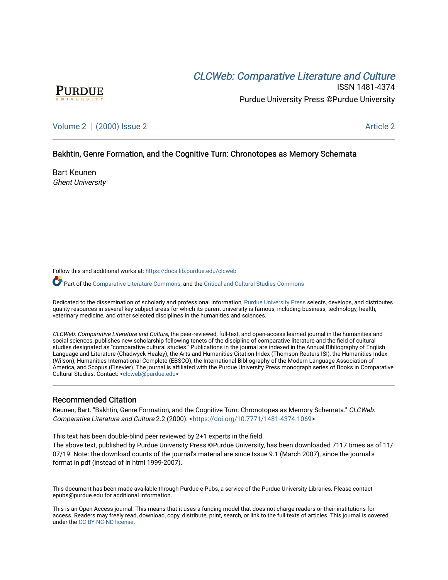# CLCW[eb: Comparative Liter](https://docs.lib.purdue.edu/clcweb)ature and Culture



ISSN 1481-4374 Purdue University Press ©Purdue University

[Volume 2](https://docs.lib.purdue.edu/clcweb/vol2) | [\(2000\) Issue 2](https://docs.lib.purdue.edu/clcweb/vol2/iss2) Article 2

# Bakhtin, Genre Formation, and the Cognitive Turn: Chronotopes as Memory Schemata

Bart Keunen Ghent University

Follow this and additional works at: [https://docs.lib.purdue.edu/clcweb](https://docs.lib.purdue.edu/clcweb?utm_source=docs.lib.purdue.edu%2Fclcweb%2Fvol2%2Fiss2%2F2&utm_medium=PDF&utm_campaign=PDFCoverPages)

Part of the [Comparative Literature Commons,](http://network.bepress.com/hgg/discipline/454?utm_source=docs.lib.purdue.edu%2Fclcweb%2Fvol2%2Fiss2%2F2&utm_medium=PDF&utm_campaign=PDFCoverPages) and the Critical and Cultural Studies Commons

Dedicated to the dissemination of scholarly and professional information, [Purdue University Press](http://www.thepress.purdue.edu/) selects, develops, and distributes quality resources in several key subject areas for which its parent university is famous, including business, technology, health, veterinary medicine, and other selected disciplines in the humanities and sciences.

CLCWeb: Comparative Literature and Culture, the peer-reviewed, full-text, and open-access learned journal in the humanities and social sciences, publishes new scholarship following tenets of the discipline of comparative literature and the field of cultural studies designated as "comparative cultural studies." Publications in the journal are indexed in the Annual Bibliography of English Language and Literature (Chadwyck-Healey), the Arts and Humanities Citation Index (Thomson Reuters ISI), the Humanities Index (Wilson), Humanities International Complete (EBSCO), the International Bibliography of the Modern Language Association of America, and Scopus (Elsevier). The journal is affiliated with the Purdue University Press monograph series of Books in Comparative Cultural Studies. Contact: [<clcweb@purdue.edu](mailto:clcweb@purdue.edu)>

# Recommended Citation

Keunen, Bart. "Bakhtin, Genre Formation, and the Cognitive Turn: Chronotopes as Memory Schemata." CLCWeb: Comparative Literature and Culture 2.2 (2000): <<https://doi.org/10.7771/1481-4374.1069>>

This text has been double-blind peer reviewed by 2+1 experts in the field.

The above text, published by Purdue University Press ©Purdue University, has been downloaded 7117 times as of 11/ 07/19. Note: the download counts of the journal's material are since Issue 9.1 (March 2007), since the journal's format in pdf (instead of in html 1999-2007).

This document has been made available through Purdue e-Pubs, a service of the Purdue University Libraries. Please contact epubs@purdue.edu for additional information.

This is an Open Access journal. This means that it uses a funding model that does not charge readers or their institutions for access. Readers may freely read, download, copy, distribute, print, search, or link to the full texts of articles. This journal is covered under the [CC BY-NC-ND license.](https://creativecommons.org/licenses/by-nc-nd/4.0/)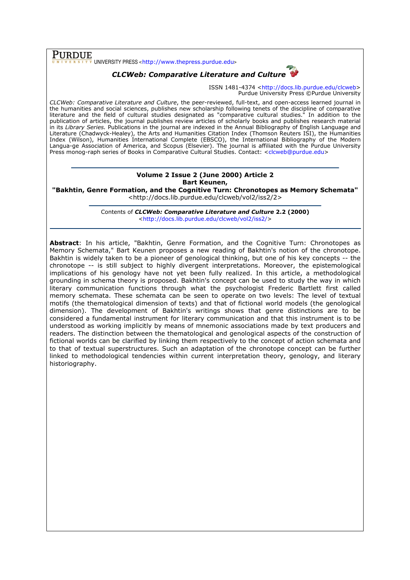$\overline{\text{PURDUE}}$  UNIVERSITY PRESS <http://www.thepress.purdue.edu>

# CLCWeb: Comparative Literature and Culture

ISSN 1481-4374 <http://docs.lib.purdue.edu/clcweb> Purdue University Press ©Purdue University

CLCWeb: Comparative Literature and Culture, the peer-reviewed, full-text, and open-access learned journal in the humanities and social sciences, publishes new scholarship following tenets of the discipline of comparative literature and the field of cultural studies designated as "comparative cultural studies." In addition to the publication of articles, the journal publishes review articles of scholarly books and publishes research material in its Library Series. Publications in the journal are indexed in the Annual Bibliography of English Language and Literature (Chadwyck-Healey), the Arts and Humanities Citation Index (Thomson Reuters ISI), the Humanities Index (Wilson), Humanities International Complete (EBSCO), the International Bibliography of the Modern Langua-ge Association of America, and Scopus (Elsevier). The journal is affiliated with the Purdue University Press monog-raph series of Books in Comparative Cultural Studies. Contact: <clcweb@purdue.edu>

# Volume 2 Issue 2 (June 2000) Article 2 Bart Keunen,

"Bakhtin, Genre Formation, and the Cognitive Turn: Chronotopes as Memory Schemata" <http://docs.lib.purdue.edu/clcweb/vol2/iss2/2>

> Contents of CLCWeb: Comparative Literature and Culture 2.2 (2000) <http://docs.lib.purdue.edu/clcweb/vol2/iss2/>

Abstract: In his article, "Bakhtin, Genre Formation, and the Cognitive Turn: Chronotopes as Memory Schemata," Bart Keunen proposes a new reading of Bakhtin's notion of the chronotope. Bakhtin is widely taken to be a pioneer of genological thinking, but one of his key concepts -- the chronotope -- is still subject to highly divergent interpretations. Moreover, the epistemological implications of his genology have not yet been fully realized. In this article, a methodological grounding in schema theory is proposed. Bakhtin's concept can be used to study the way in which literary communication functions through what the psychologist Frederic Bartlett first called memory schemata. These schemata can be seen to operate on two levels: The level of textual motifs (the thematological dimension of texts) and that of fictional world models (the genological dimension). The development of Bakhtin's writings shows that genre distinctions are to be considered a fundamental instrument for literary communication and that this instrument is to be understood as working implicitly by means of mnemonic associations made by text producers and readers. The distinction between the thematological and genological aspects of the construction of fictional worlds can be clarified by linking them respectively to the concept of action schemata and to that of textual superstructures. Such an adaptation of the chronotope concept can be further linked to methodological tendencies within current interpretation theory, genology, and literary historiography.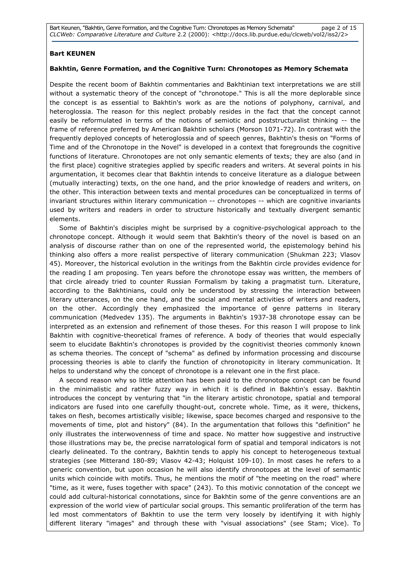Bart Keunen, "Bakhtin, Genre Formation, and the Cognitive Turn: Chronotopes as Memory Schemata" page 2 of 15 CLCWeb: Comparative Literature and Culture 2.2 (2000): <http://docs.lib.purdue.edu/clcweb/vol2/iss2/2>

# Bart KEUNEN

#### Bakhtin, Genre Formation, and the Cognitive Turn: Chronotopes as Memory Schemata

Despite the recent boom of Bakhtin commentaries and Bakhtinian text interpretations we are still without a systematic theory of the concept of "chronotope." This is all the more deplorable since the concept is as essential to Bakhtin's work as are the notions of polyphony, carnival, and heteroglossia. The reason for this neglect probably resides in the fact that the concept cannot easily be reformulated in terms of the notions of semiotic and poststructuralist thinking -- the frame of reference preferred by American Bakhtin scholars (Morson 1071-72). In contrast with the frequently deployed concepts of heteroglossia and of speech genres, Bakhtin's thesis on "Forms of Time and of the Chronotope in the Novel" is developed in a context that foregrounds the cognitive functions of literature. Chronotopes are not only semantic elements of texts; they are also (and in the first place) cognitive strategies applied by specific readers and writers. At several points in his argumentation, it becomes clear that Bakhtin intends to conceive literature as a dialogue between (mutually interacting) texts, on the one hand, and the prior knowledge of readers and writers, on the other. This interaction between texts and mental procedures can be conceptualized in terms of invariant structures within literary communication -- chronotopes -- which are cognitive invariants used by writers and readers in order to structure historically and textually divergent semantic elements.

Some of Bakhtin's disciples might be surprised by a cognitive-psychological approach to the chronotope concept. Although it would seem that Bakhtin's theory of the novel is based on an analysis of discourse rather than on one of the represented world, the epistemology behind his thinking also offers a more realist perspective of literary communication (Shukman 223; Vlasov 45). Moreover, the historical evolution in the writings from the Bakhtin circle provides evidence for the reading I am proposing. Ten years before the chronotope essay was written, the members of that circle already tried to counter Russian Formalism by taking a pragmatist turn. Literature, according to the Bakhtinians, could only be understood by stressing the interaction between literary utterances, on the one hand, and the social and mental activities of writers and readers, on the other. Accordingly they emphasized the importance of genre patterns in literary communication (Medvedev 135). The arguments in Bakhtin's 1937-38 chronotope essay can be interpreted as an extension and refinement of those theses. For this reason I will propose to link Bakhtin with cognitive-theoretical frames of reference. A body of theories that would especially seem to elucidate Bakhtin's chronotopes is provided by the cognitivist theories commonly known as schema theories. The concept of "schema" as defined by information processing and discourse processing theories is able to clarify the function of chronotopicity in literary communication. It helps to understand why the concept of chronotope is a relevant one in the first place.

A second reason why so little attention has been paid to the chronotope concept can be found in the minimalistic and rather fuzzy way in which it is defined in Bakhtin's essay. Bakhtin introduces the concept by venturing that "in the literary artistic chronotope, spatial and temporal indicators are fused into one carefully thought-out, concrete whole. Time, as it were, thickens, takes on flesh, becomes artistically visible; likewise, space becomes charged and responsive to the movements of time, plot and history" (84). In the argumentation that follows this "definition" he only illustrates the interwovenness of time and space. No matter how suggestive and instructive those illustrations may be, the precise narratological form of spatial and temporal indicators is not clearly delineated. To the contrary, Bakhtin tends to apply his concept to heterogeneous textual strategies (see Mitterand 180-89; Vlasov 42-43; Holquist 109-10). In most cases he refers to a generic convention, but upon occasion he will also identify chronotopes at the level of semantic units which coincide with motifs. Thus, he mentions the motif of "the meeting on the road" where "time, as it were, fuses together with space" (243). To this motivic connotation of the concept we could add cultural-historical connotations, since for Bakhtin some of the genre conventions are an expression of the world view of particular social groups. This semantic proliferation of the term has led most commentators of Bakhtin to use the term very loosely by identifying it with highly different literary "images" and through these with "visual associations" (see Stam; Vice). To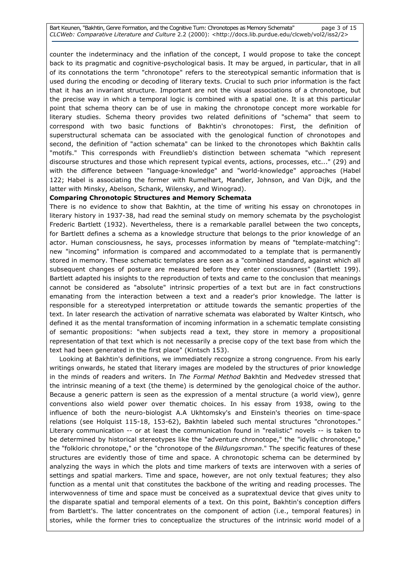Bart Keunen, "Bakhtin, Genre Formation, and the Cognitive Turn: Chronotopes as Memory Schemata" page 3 of 15 CLCWeb: Comparative Literature and Culture 2.2 (2000): <http://docs.lib.purdue.edu/clcweb/vol2/iss2/2>

counter the indeterminacy and the inflation of the concept, I would propose to take the concept back to its pragmatic and cognitive-psychological basis. It may be argued, in particular, that in all of its connotations the term "chronotope" refers to the stereotypical semantic information that is used during the encoding or decoding of literary texts. Crucial to such prior information is the fact that it has an invariant structure. Important are not the visual associations of a chronotope, but the precise way in which a temporal logic is combined with a spatial one. It is at this particular point that schema theory can be of use in making the chronotope concept more workable for literary studies. Schema theory provides two related definitions of "schema" that seem to correspond with two basic functions of Bakhtin's chronotopes: First, the definition of superstructural schemata can be associated with the genological function of chronotopes and second, the definition of "action schemata" can be linked to the chronotopes which Bakhtin calls "motifs." This corresponds with Freundlieb's distinction between schemata "which represent discourse structures and those which represent typical events, actions, processes, etc..." (29) and with the difference between "language-knowledge" and "world-knowledge" approaches (Habel 122; Habel is associating the former with Rumelhart, Mandler, Johnson, and Van Dijk, and the latter with Minsky, Abelson, Schank, Wilensky, and Winograd).

### Comparing Chronotopic Structures and Memory Schemata

There is no evidence to show that Bakhtin, at the time of writing his essay on chronotopes in literary history in 1937-38, had read the seminal study on memory schemata by the psychologist Frederic Bartlett (1932). Nevertheless, there is a remarkable parallel between the two concepts, for Bartlett defines a schema as a knowledge structure that belongs to the prior knowledge of an actor. Human consciousness, he says, processes information by means of "template-matching": new "incoming" information is compared and accommodated to a template that is permanently stored in memory. These schematic templates are seen as a "combined standard, against which all subsequent changes of posture are measured before they enter consciousness" (Bartlett 199). Bartlett adapted his insights to the reproduction of texts and came to the conclusion that meanings cannot be considered as "absolute" intrinsic properties of a text but are in fact constructions emanating from the interaction between a text and a reader's prior knowledge. The latter is responsible for a stereotyped interpretation or attitude towards the semantic properties of the text. In later research the activation of narrative schemata was elaborated by Walter Kintsch, who defined it as the mental transformation of incoming information in a schematic template consisting of semantic propositions: "when subjects read a text, they store in memory a propositional representation of that text which is not necessarily a precise copy of the text base from which the text had been generated in the first place" (Kintsch 153).

 Looking at Bakhtin's definitions, we immediately recognize a strong congruence. From his early writings onwards, he stated that literary images are modeled by the structures of prior knowledge in the minds of readers and writers. In The Formal Method Bakhtin and Medvedev stressed that the intrinsic meaning of a text (the theme) is determined by the genological choice of the author. Because a generic pattern is seen as the expression of a mental structure (a world view), genre conventions also wield power over thematic choices. In his essay from 1938, owing to the influence of both the neuro-biologist A.A Ukhtomsky's and Einstein's theories on time-space relations (see Holquist 115-18, 153-62), Bakhtin labeled such mental structures "chronotopes." Literary communication -- or at least the communication found in "realistic" novels -- is taken to be determined by historical stereotypes like the "adventure chronotope," the "idyllic chronotope," the "folkloric chronotope," or the "chronotope of the Bildungsroman." The specific features of these structures are evidently those of time and space. A chronotopic schema can be determined by analyzing the ways in which the plots and time markers of texts are interwoven with a series of settings and spatial markers. Time and space, however, are not only textual features; they also function as a mental unit that constitutes the backbone of the writing and reading processes. The interwovenness of time and space must be conceived as a supratextual device that gives unity to the disparate spatial and temporal elements of a text. On this point, Bakhtin's conception differs from Bartlett's. The latter concentrates on the component of action (i.e., temporal features) in stories, while the former tries to conceptualize the structures of the intrinsic world model of a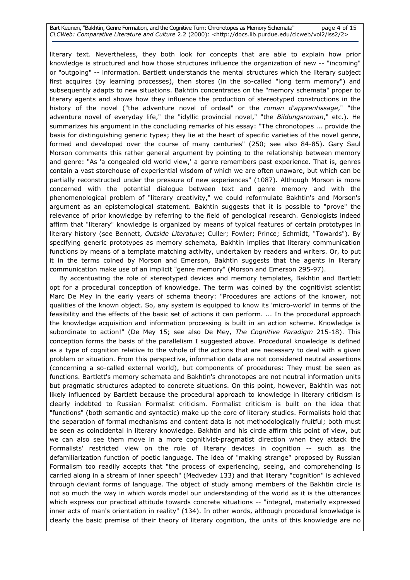#### Bart Keunen, "Bakhtin, Genre Formation, and the Cognitive Turn: Chronotopes as Memory Schemata" page 4 of 15 CLCWeb: Comparative Literature and Culture 2.2 (2000): <http://docs.lib.purdue.edu/clcweb/vol2/iss2/2>

literary text. Nevertheless, they both look for concepts that are able to explain how prior knowledge is structured and how those structures influence the organization of new -- "incoming" or "outgoing" -- information. Bartlett understands the mental structures which the literary subject first acquires (by learning processes), then stores (in the so-called "long term memory") and subsequently adapts to new situations. Bakhtin concentrates on the "memory schemata" proper to literary agents and shows how they influence the production of stereotyped constructions in the history of the novel ("the adventure novel of ordeal" or the roman d'apprentissage," "the adventure novel of everyday life," the "idyllic provincial novel," "the Bildungsroman," etc.). He summarizes his argument in the concluding remarks of his essay: "The chronotopes ... provide the basis for distinguishing generic types; they lie at the heart of specific varieties of the novel genre, formed and developed over the course of many centuries" (250; see also 84-85). Gary Saul Morson comments this rather general argument by pointing to the relationship between memory and genre: "As 'a congealed old world view,' a genre remembers past experience. That is, genres contain a vast storehouse of experiential wisdom of which we are often unaware, but which can be partially reconstructed under the pressure of new experiences" (1087). Although Morson is more concerned with the potential dialogue between text and genre memory and with the phenomenological problem of "literary creativity," we could reformulate Bakhtin's and Morson's argument as an epistemological statement. Bakhtin suggests that it is possible to "prove" the relevance of prior knowledge by referring to the field of genological research. Genologists indeed affirm that "literary" knowledge is organized by means of typical features of certain prototypes in literary history (see Bennett, Outside Literature; Culler; Fowler; Prince; Schmidt, "Towards"). By specifying generic prototypes as memory schemata, Bakhtin implies that literary communication functions by means of a template matching activity, undertaken by readers and writers. Or, to put it in the terms coined by Morson and Emerson, Bakhtin suggests that the agents in literary communication make use of an implicit "genre memory" (Morson and Emerson 295-97).

 By accentuating the role of stereotyped devices and memory templates, Bakhtin and Bartlett opt for a procedural conception of knowledge. The term was coined by the cognitivist scientist Marc De Mey in the early years of schema theory: "Procedures are actions of the knower, not qualities of the known object. So, any system is equipped to know its 'micro-world' in terms of the feasibility and the effects of the basic set of actions it can perform. ... In the procedural approach the knowledge acquisition and information processing is built in an action scheme. Knowledge is subordinate to action!" (De Mey 15; see also De Mey, The Cognitive Paradigm 215-18). This conception forms the basis of the parallelism I suggested above. Procedural knowledge is defined as a type of cognition relative to the whole of the actions that are necessary to deal with a given problem or situation. From this perspective, information data are not considered neutral assertions (concerning a so-called external world), but components of procedures: They must be seen as functions. Bartlett's memory schemata and Bakhtin's chronotopes are not neutral information units but pragmatic structures adapted to concrete situations. On this point, however, Bakhtin was not likely influenced by Bartlett because the procedural approach to knowledge in literary criticism is clearly indebted to Russian Formalist criticism. Formalist criticism is built on the idea that "functions" (both semantic and syntactic) make up the core of literary studies. Formalists hold that the separation of formal mechanisms and content data is not methodologically fruitful; both must be seen as coincidental in literary knowledge. Bakhtin and his circle affirm this point of view, but we can also see them move in a more cognitivist-pragmatist direction when they attack the Formalists' restricted view on the role of literary devices in cognition -- such as the defamiliarization function of poetic language. The idea of "making strange" proposed by Russian Formalism too readily accepts that "the process of experiencing, seeing, and comprehending is carried along in a stream of inner speech" (Medvedev 133) and that literary "cognition" is achieved through deviant forms of language. The object of study among members of the Bakhtin circle is not so much the way in which words model our understanding of the world as it is the utterances which express our practical attitude towards concrete situations -- "integral, materially expressed inner acts of man's orientation in reality" (134). In other words, although procedural knowledge is clearly the basic premise of their theory of literary cognition, the units of this knowledge are no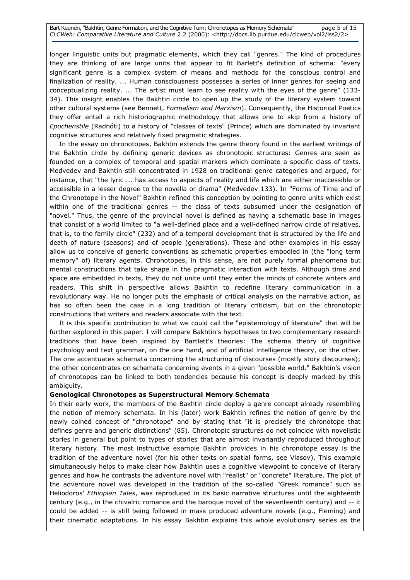longer linguistic units but pragmatic elements, which they call "genres." The kind of procedures they are thinking of are large units that appear to fit Barlett's definition of schema: "every significant genre is a complex system of means and methods for the conscious control and finalization of reality. ... Human consciousness possesses a series of inner genres for seeing and conceptualizing reality. ... The artist must learn to see reality with the eyes of the genre" (133- 34). This insight enables the Bakhtin circle to open up the study of the literary system toward other cultural systems (see Bennett, Formalism and Marxism). Consequently, the Historical Poetics they offer entail a rich historiographic methodology that allows one to skip from a history of Epochenstile (Radnóti) to a history of "classes of texts" (Prince) which are dominated by invariant cognitive structures and relatively fixed pragmatic strategies.

 In the essay on chronotopes, Bakhtin extends the genre theory found in the earliest writings of the Bakhtin circle by defining generic devices as chronotopic structures: Genres are seen as founded on a complex of temporal and spatial markers which dominate a specific class of texts. Medvedev and Bakhtin still concentrated in 1928 on traditional genre categories and argued, for instance, that "the lyric ... has access to aspects of reality and life which are either inaccessible or accessible in a lesser degree to the novella or drama" (Medvedev 133). In "Forms of Time and of the Chronotope in the Novel" Bakhtin refined this conception by pointing to genre units which exist within one of the traditional genres -- the class of texts subsumed under the designation of "novel." Thus, the genre of the provincial novel is defined as having a schematic base in images that consist of a world limited to "a well-defined place and a well-defined narrow circle of relatives, that is, to the family circle" (232) and of a temporal development that is structured by the life and death of nature (seasons) and of people (generations). These and other examples in his essay allow us to conceive of generic conventions as schematic properties embodied in (the "long term memory" of) literary agents. Chronotopes, in this sense, are not purely formal phenomena but mental constructions that take shape in the pragmatic interaction with texts. Although time and space are embedded in texts, they do not unite until they enter the minds of concrete writers and readers. This shift in perspective allows Bakhtin to redefine literary communication in a revolutionary way. He no longer puts the emphasis of critical analysis on the narrative action, as has so often been the case in a long tradition of literary criticism, but on the chronotopic constructions that writers and readers associate with the text.

 It is this specific contribution to what we could call the "epistemology of literature" that will be further explored in this paper. I will compare Bakhtin's hypotheses to two complementary research traditions that have been inspired by Bartlett's theories: The schema theory of cognitive psychology and text grammar, on the one hand, and of artificial intelligence theory, on the other. The one accentuates schemata concerning the structuring of discourses (mostly story discourses); the other concentrates on schemata concerning events in a given "possible world." Bakhtin's vision of chronotopes can be linked to both tendencies because his concept is deeply marked by this ambiguity.

# Genological Chronotopes as Superstructural Memory Schemata

In their early work, the members of the Bakhtin circle deploy a genre concept already resembling the notion of memory schemata. In his (later) work Bakhtin refines the notion of genre by the newly coined concept of "chronotope" and by stating that "it is precisely the chronotope that defines genre and generic distinctions" (85). Chronotopic structures do not coincide with novelistic stories in general but point to types of stories that are almost invariantly reproduced throughout literary history. The most instructive example Bakhtin provides in his chronotope essay is the tradition of the adventure novel (for his other texts on spatial forms, see Vlasov). This example simultaneously helps to make clear how Bakhtin uses a cognitive viewpoint to conceive of literary genres and how he contrasts the adventure novel with "realist" or "concrete" literature. The plot of the adventure novel was developed in the tradition of the so-called "Greek romance" such as Heliodoros' Ethiopian Tales, was reproduced in its basic narrative structures until the eighteenth century (e.g., in the chivalric romance and the baroque novel of the seventeenth century) and -- it could be added -- is still being followed in mass produced adventure novels (e.g., Fleming) and their cinematic adaptations. In his essay Bakhtin explains this whole evolutionary series as the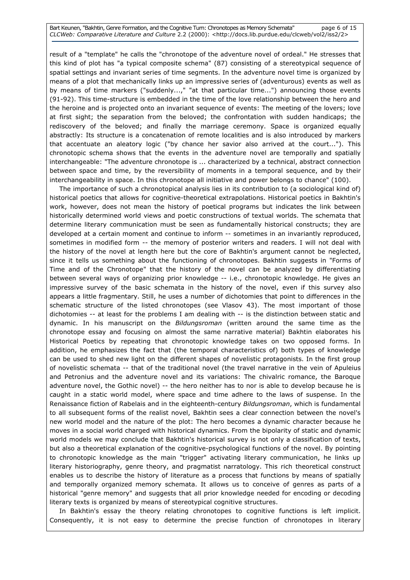Bart Keunen, "Bakhtin, Genre Formation, and the Cognitive Turn: Chronotopes as Memory Schemata" page 6 of 15 CLCWeb: Comparative Literature and Culture 2.2 (2000): <http://docs.lib.purdue.edu/clcweb/vol2/iss2/2>

result of a "template" he calls the "chronotope of the adventure novel of ordeal." He stresses that this kind of plot has "a typical composite schema" (87) consisting of a stereotypical sequence of spatial settings and invariant series of time segments. In the adventure novel time is organized by means of a plot that mechanically links up an impressive series of (adventurous) events as well as by means of time markers ("suddenly...," "at that particular time...") announcing those events (91-92). This time-structure is embedded in the time of the love relationship between the hero and the heroine and is projected onto an invariant sequence of events: The meeting of the lovers; love at first sight; the separation from the beloved; the confrontation with sudden handicaps; the rediscovery of the beloved; and finally the marriage ceremony. Space is organized equally abstractly: Its structure is a concatenation of remote localities and is also introduced by markers that accentuate an aleatory logic ("by chance her savior also arrived at the court..."). This chronotopic schema shows that the events in the adventure novel are temporally and spatially interchangeable: "The adventure chronotope is ... characterized by a technical, abstract connection between space and time, by the reversibility of moments in a temporal sequence, and by their interchangeability in space. In this chronotope all initiative and power belongs to chance" (100).

 The importance of such a chronotopical analysis lies in its contribution to (a sociological kind of) historical poetics that allows for cognitive-theoretical extrapolations. Historical poetics in Bakhtin's work, however, does not mean the history of poetical programs but indicates the link between historically determined world views and poetic constructions of textual worlds. The schemata that determine literary communication must be seen as fundamentally historical constructs; they are developed at a certain moment and continue to inform -- sometimes in an invariantly reproduced, sometimes in modified form -- the memory of posterior writers and readers. I will not deal with the history of the novel at length here but the core of Bakhtin's argument cannot be neglected, since it tells us something about the functioning of chronotopes. Bakhtin suggests in "Forms of Time and of the Chronotope" that the history of the novel can be analyzed by differentiating between several ways of organizing prior knowledge -- i.e., chronotopic knowledge. He gives an impressive survey of the basic schemata in the history of the novel, even if this survey also appears a little fragmentary. Still, he uses a number of dichotomies that point to differences in the schematic structure of the listed chronotopes (see Vlasov 43). The most important of those dichotomies -- at least for the problems I am dealing with -- is the distinction between static and dynamic. In his manuscript on the Bildungsroman (written around the same time as the chronotope essay and focusing on almost the same narrative material) Bakhtin elaborates his Historical Poetics by repeating that chronotopic knowledge takes on two opposed forms. In addition, he emphasizes the fact that (the temporal characteristics of) both types of knowledge can be used to shed new light on the different shapes of novelistic protagonists. In the first group of novelistic schemata -- that of the traditional novel (the travel narrative in the vein of Apuleius and Petronius and the adventure novel and its variations: The chivalric romance, the Baroque adventure novel, the Gothic novel) -- the hero neither has to nor is able to develop because he is caught in a static world model, where space and time adhere to the laws of suspense. In the Renaissance fiction of Rabelais and in the eighteenth-century Bildungsroman, which is fundamental to all subsequent forms of the realist novel, Bakhtin sees a clear connection between the novel's new world model and the nature of the plot: The hero becomes a dynamic character because he moves in a social world charged with historical dynamics. From the bipolarity of static and dynamic world models we may conclude that Bakhtin's historical survey is not only a classification of texts, but also a theoretical explanation of the cognitive-psychological functions of the novel. By pointing to chronotopic knowledge as the main "trigger" activating literary communication, he links up literary historiography, genre theory, and pragmatist narratology. This rich theoretical construct enables us to describe the history of literature as a process that functions by means of spatially and temporally organized memory schemata. It allows us to conceive of genres as parts of a historical "genre memory" and suggests that all prior knowledge needed for encoding or decoding literary texts is organized by means of stereotypical cognitive structures.

 In Bakhtin's essay the theory relating chronotopes to cognitive functions is left implicit. Consequently, it is not easy to determine the precise function of chronotopes in literary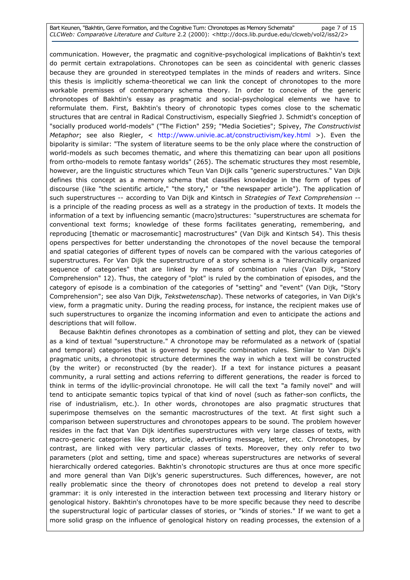#### Bart Keunen, "Bakhtin, Genre Formation, and the Cognitive Turn: Chronotopes as Memory Schemata" page 7 of 15 CLCWeb: Comparative Literature and Culture 2.2 (2000): <http://docs.lib.purdue.edu/clcweb/vol2/iss2/2>

communication. However, the pragmatic and cognitive-psychological implications of Bakhtin's text do permit certain extrapolations. Chronotopes can be seen as coincidental with generic classes because they are grounded in stereotyped templates in the minds of readers and writers. Since this thesis is implicitly schema-theoretical we can link the concept of chronotopes to the more workable premisses of contemporary schema theory. In order to conceive of the generic chronotopes of Bakhtin's essay as pragmatic and social-psychological elements we have to reformulate them. First, Bakhtin's theory of chronotopic types comes close to the schematic structures that are central in Radical Constructivism, especially Siegfried J. Schmidt's conception of "socially produced world-models" ("The Fiction" 259; "Media Societies"; Spivey, The Constructivist Metaphor; see also Riegler, < http://www.univie.ac.at/constructivism/key.html >). Even the bipolarity is similar: "The system of literature seems to be the only place where the construction of world-models as such becomes thematic, and where this thematizing can bear upon all positions from ortho-models to remote fantasy worlds" (265). The schematic structures they most resemble, however, are the linguistic structures which Teun Van Dijk calls "generic superstructures." Van Dijk defines this concept as a memory schema that classifies knowledge in the form of types of discourse (like "the scientific article," "the story," or "the newspaper article"). The application of such superstructures -- according to Van Dijk and Kintsch in Strategies of Text Comprehension -is a principle of the reading process as well as a strategy in the production of texts. It models the information of a text by influencing semantic (macro)structures: "superstructures are schemata for conventional text forms; knowledge of these forms facilitates generating, remembering, and reproducing [thematic or macrosemantic] macrostructures" (Van Dijk and Kintsch 54). This thesis opens perspectives for better understanding the chronotopes of the novel because the temporal and spatial categories of different types of novels can be compared with the various categories of superstructures. For Van Dijk the superstructure of a story schema is a "hierarchically organized sequence of categories" that are linked by means of combination rules (Van Dijk, "Story Comprehension" 12). Thus, the category of "plot" is ruled by the combination of episodes, and the category of episode is a combination of the categories of "setting" and "event" (Van Dijk, "Story Comprehension"; see also Van Dijk, Tekstwetenschap). These networks of categories, in Van Dijk's view, form a pragmatic unity. During the reading process, for instance, the recipient makes use of such superstructures to organize the incoming information and even to anticipate the actions and descriptions that will follow.

 Because Bakhtin defines chronotopes as a combination of setting and plot, they can be viewed as a kind of textual "superstructure." A chronotope may be reformulated as a network of (spatial and temporal) categories that is governed by specific combination rules. Similar to Van Dijk's pragmatic units, a chronotopic structure determines the way in which a text will be constructed (by the writer) or reconstructed (by the reader). If a text for instance pictures a peasant community, a rural setting and actions referring to different generations, the reader is forced to think in terms of the idyllic-provincial chronotope. He will call the text "a family novel" and will tend to anticipate semantic topics typical of that kind of novel (such as father-son conflicts, the rise of industrialism, etc.). In other words, chronotopes are also pragmatic structures that superimpose themselves on the semantic macrostructures of the text. At first sight such a comparison between superstructures and chronotopes appears to be sound. The problem however resides in the fact that Van Dijk identifies superstructures with very large classes of texts, with macro-generic categories like story, article, advertising message, letter, etc. Chronotopes, by contrast, are linked with very particular classes of texts. Moreover, they only refer to two parameters (plot and setting, time and space) whereas superstructures are networks of several hierarchically ordered categories. Bakhtin's chronotopic structures are thus at once more specific and more general than Van Dijk's generic superstructures. Such differences, however, are not really problematic since the theory of chronotopes does not pretend to develop a real story grammar: it is only interested in the interaction between text processing and literary history or genological history. Bakhtin's chronotopes have to be more specific because they need to describe the superstructural logic of particular classes of stories, or "kinds of stories." If we want to get a more solid grasp on the influence of genological history on reading processes, the extension of a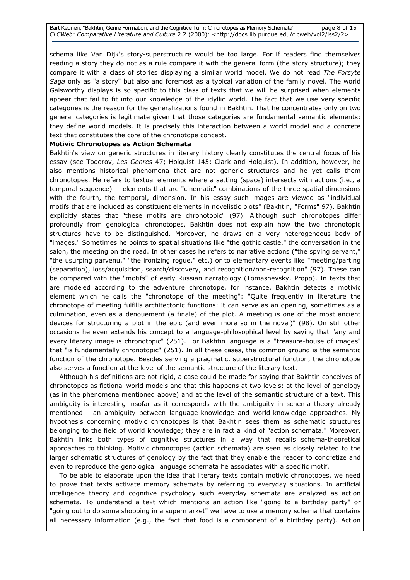schema like Van Dijk's story-superstructure would be too large. For if readers find themselves reading a story they do not as a rule compare it with the general form (the story structure); they compare it with a class of stories displaying a similar world model. We do not read The Forsyte Saga only as "a story" but also and foremost as a typical variation of the family novel. The world Galsworthy displays is so specific to this class of texts that we will be surprised when elements appear that fail to fit into our knowledge of the idyllic world. The fact that we use very specific categories is the reason for the generalizations found in Bakhtin. That he concentrates only on two general categories is legitimate given that those categories are fundamental semantic elements: they define world models. It is precisely this interaction between a world model and a concrete text that constitutes the core of the chronotope concept.

## Motivic Chronotopes as Action Schemata

Bakhtin's view on generic structures in literary history clearly constitutes the central focus of his essay (see Todorov, Les Genres 47; Holquist 145; Clark and Holquist). In addition, however, he also mentions historical phenomena that are not generic structures and he yet calls them chronotopes. He refers to textual elements where a setting (space) intersects with actions (i.e., a temporal sequence) -- elements that are "cinematic" combinations of the three spatial dimensions with the fourth, the temporal, dimension. In his essay such images are viewed as "individual motifs that are included as constituent elements in novelistic plots" (Bakhtin, "Forms" 97). Bakhtin explicitly states that "these motifs are chronotopic" (97). Although such chronotopes differ profoundly from genological chronotopes, Bakhtin does not explain how the two chronotopic structures have to be distinguished. Moreover, he draws on a very heterogeneous body of "images." Sometimes he points to spatial situations like "the gothic castle," the conversation in the salon, the meeting on the road. In other cases he refers to narrative actions ("the spying servant," "the usurping parvenu," "the ironizing rogue," etc.) or to elementary events like "meeting/parting (separation), loss/acquisition, search/discovery, and recognition/non-recognition" (97). These can be compared with the "motifs" of early Russian narratology (Tomashevsky, Propp). In texts that are modeled according to the adventure chronotope, for instance, Bakhtin detects a motivic element which he calls the "chronotope of the meeting": "Quite frequently in literature the chronotope of meeting fulfills architectonic functions: it can serve as an opening, sometimes as a culmination, even as a denouement (a finale) of the plot. A meeting is one of the most ancient devices for structuring a plot in the epic (and even more so in the novel)" (98). On still other occasions he even extends his concept to a language-philosophical level by saying that "any and every literary image is chronotopic" (251). For Bakhtin language is a "treasure-house of images" that "is fundamentally chronotopic" (251). In all these cases, the common ground is the semantic function of the chronotope. Besides serving a pragmatic, superstructural function, the chronotope also serves a function at the level of the semantic structure of the literary text.

 Although his definitions are not rigid, a case could be made for saying that Bakhtin conceives of chronotopes as fictional world models and that this happens at two levels: at the level of genology (as in the phenomena mentioned above) and at the level of the semantic structure of a text. This ambiguity is interesting insofar as it corresponds with the ambiguity in schema theory already mentioned - an ambiguity between language-knowledge and world-knowledge approaches. My hypothesis concerning motivic chronotopes is that Bakhtin sees them as schematic structures belonging to the field of world knowledge; they are in fact a kind of "action schemata." Moreover, Bakhtin links both types of cognitive structures in a way that recalls schema-theoretical approaches to thinking. Motivic chronotopes (action schemata) are seen as closely related to the larger schematic structures of genology by the fact that they enable the reader to concretize and even to reproduce the genological language schemata he associates with a specific motif.

 To be able to elaborate upon the idea that literary texts contain motivic chronotopes, we need to prove that texts activate memory schemata by referring to everyday situations. In artificial intelligence theory and cognitive psychology such everyday schemata are analyzed as action schemata. To understand a text which mentions an action like "going to a birthday party" or "going out to do some shopping in a supermarket" we have to use a memory schema that contains all necessary information (e.g., the fact that food is a component of a birthday party). Action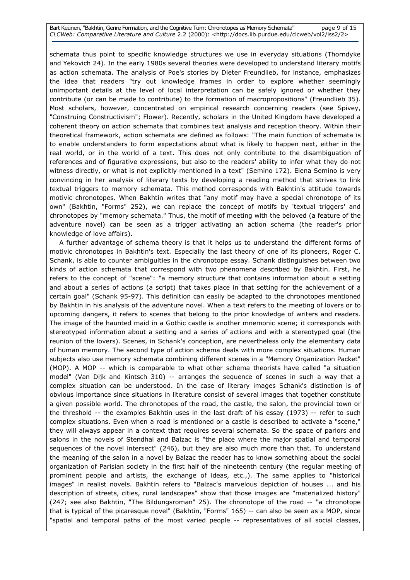Bart Keunen, "Bakhtin, Genre Formation, and the Cognitive Turn: Chronotopes as Memory Schemata" page 9 of 15 CLCWeb: Comparative Literature and Culture 2.2 (2000): <http://docs.lib.purdue.edu/clcweb/vol2/iss2/2>

schemata thus point to specific knowledge structures we use in everyday situations (Thorndyke and Yekovich 24). In the early 1980s several theories were developed to understand literary motifs as action schemata. The analysis of Poe's stories by Dieter Freundlieb, for instance, emphasizes the idea that readers "try out knowledge frames in order to explore whether seemingly unimportant details at the level of local interpretation can be safely ignored or whether they contribute (or can be made to contribute) to the formation of macropropositions" (Freundlieb 35). Most scholars, however, concentrated on empirical research concerning readers (see Spivey, "Construing Constructivism"; Flower). Recently, scholars in the United Kingdom have developed a coherent theory on action schemata that combines text analysis and reception theory. Within their theoretical framework, action schemata are defined as follows: "The main function of schemata is to enable understanders to form expectations about what is likely to happen next, either in the real world, or in the world of a text. This does not only contribute to the disambiguation of references and of figurative expressions, but also to the readers' ability to infer what they do not witness directly, or what is not explicitly mentioned in a text" (Semino 172). Elena Semino is very convincing in her analysis of literary texts by developing a reading method that strives to link textual triggers to memory schemata. This method corresponds with Bakhtin's attitude towards motivic chronotopes. When Bakhtin writes that "any motif may have a special chronotope of its own" (Bakhtin, "Forms" 252), we can replace the concept of motifs by 'textual triggers' and chronotopes by "memory schemata." Thus, the motif of meeting with the beloved (a feature of the adventure novel) can be seen as a trigger activating an action schema (the reader's prior knowledge of love affairs).

 A further advantage of schema theory is that it helps us to understand the different forms of motivic chronotopes in Bakhtin's text. Especially the last theory of one of its pioneers, Roger C. Schank, is able to counter ambiguities in the chronotope essay. Schank distinguishes between two kinds of action schemata that correspond with two phenomena described by Bakhtin. First, he refers to the concept of "scene": "a memory structure that contains information about a setting and about a series of actions (a script) that takes place in that setting for the achievement of a certain goal" (Schank 95-97). This definition can easily be adapted to the chronotopes mentioned by Bakhtin in his analysis of the adventure novel. When a text refers to the meeting of lovers or to upcoming dangers, it refers to scenes that belong to the prior knowledge of writers and readers. The image of the haunted maid in a Gothic castle is another mnemonic scene; it corresponds with stereotyped information about a setting and a series of actions and with a stereotyped goal (the reunion of the lovers). Scenes, in Schank's conception, are nevertheless only the elementary data of human memory. The second type of action schema deals with more complex situations. Human subjects also use memory schemata combining different scenes in a "Memory Organization Packet" (MOP). A MOP -- which is comparable to what other schema theorists have called "a situation model" (Van Dijk and Kintsch 310) -- arranges the sequence of scenes in such a way that a complex situation can be understood. In the case of literary images Schank's distinction is of obvious importance since situations in literature consist of several images that together constitute a given possible world. The chronotopes of the road, the castle, the salon, the provincial town or the threshold -- the examples Bakhtin uses in the last draft of his essay (1973) -- refer to such complex situations. Even when a road is mentioned or a castle is described to activate a "scene," they will always appear in a context that requires several schemata. So the space of parlors and salons in the novels of Stendhal and Balzac is "the place where the major spatial and temporal sequences of the novel intersect" (246), but they are also much more than that. To understand the meaning of the salon in a novel by Balzac the reader has to know something about the social organization of Parisian society in the first half of the nineteenth century (the regular meeting of prominent people and artists, the exchange of ideas, etc.,). The same applies to "historical images" in realist novels. Bakhtin refers to "Balzac's marvelous depiction of houses ... and his description of streets, cities, rural landscapes" show that those images are "materialized history" (247; see also Bakhtin, "The Bildungsroman" 25). The chronotope of the road -- "a chronotope that is typical of the picaresque novel" (Bakhtin, "Forms" 165) -- can also be seen as a MOP, since "spatial and temporal paths of the most varied people -- representatives of all social classes,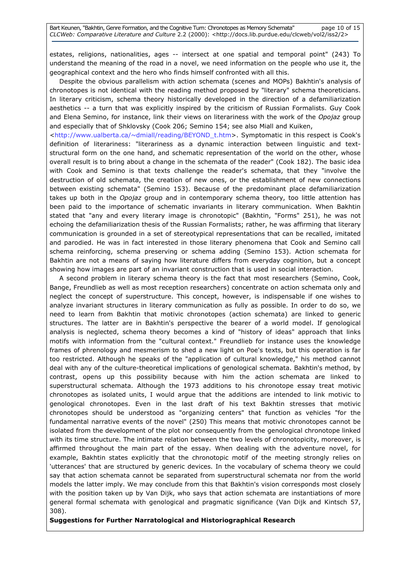estates, religions, nationalities, ages -- intersect at one spatial and temporal point" (243) To understand the meaning of the road in a novel, we need information on the people who use it, the geographical context and the hero who finds himself confronted with all this.

 Despite the obvious parallelism with action schemata (scenes and MOPs) Bakhtin's analysis of chronotopes is not identical with the reading method proposed by "literary" schema theoreticians. In literary criticism, schema theory historically developed in the direction of a defamiliarization aesthetics -- a turn that was explicitly inspired by the criticism of Russian Formalists. Guy Cook and Elena Semino, for instance, link their views on literariness with the work of the Opojaz group and especially that of Shklovsky (Cook 206; Semino 154; see also Miall and Kuiken,

<http://www.ualberta.ca/~dmiall/reading/BEYOND\_t.htm>. Symptomatic in this respect is Cook's definition of literariness: "literariness as a dynamic interaction between linguistic and textstructural form on the one hand, and schematic representation of the world on the other, whose overall result is to bring about a change in the schemata of the reader" (Cook 182). The basic idea with Cook and Semino is that texts challenge the reader's schemata, that they "involve the destruction of old schemata, the creation of new ones, or the establishment of new connections between existing schemata" (Semino 153). Because of the predominant place defamiliarization takes up both in the Opojaz group and in contemporary schema theory, too little attention has been paid to the importance of schematic invariants in literary communication. When Bakhtin stated that "any and every literary image is chronotopic" (Bakhtin, "Forms" 251), he was not echoing the defamiliarization thesis of the Russian Formalists; rather, he was affirming that literary communication is grounded in a set of stereotypical representations that can be recalled, imitated and parodied. He was in fact interested in those literary phenomena that Cook and Semino call schema reinforcing, schema preserving or schema adding (Semino 153). Action schemata for Bakhtin are not a means of saying how literature differs from everyday cognition, but a concept showing how images are part of an invariant construction that is used in social interaction.

 A second problem in literary schema theory is the fact that most researchers (Semino, Cook, Bange, Freundlieb as well as most reception researchers) concentrate on action schemata only and neglect the concept of superstructure. This concept, however, is indispensable if one wishes to analyze invariant structures in literary communication as fully as possible. In order to do so, we need to learn from Bakhtin that motivic chronotopes (action schemata) are linked to generic structures. The latter are in Bakhtin's perspective the bearer of a world model. If genological analysis is neglected, schema theory becomes a kind of "history of ideas" approach that links motifs with information from the "cultural context." Freundlieb for instance uses the knowledge frames of phrenology and mesmerism to shed a new light on Poe's texts, but this operation is far too restricted. Although he speaks of the "application of cultural knowledge," his method cannot deal with any of the culture-theoretical implications of genological schemata. Bakhtin's method, by contrast, opens up this possibility because with him the action schemata are linked to superstructural schemata. Although the 1973 additions to his chronotope essay treat motivic chronotopes as isolated units, I would argue that the additions are intended to link motivic to genological chronotopes. Even in the last draft of his text Bakhtin stresses that motivic chronotopes should be understood as "organizing centers" that function as vehicles "for the fundamental narrative events of the novel" (250) This means that motivic chronotopes cannot be isolated from the development of the plot nor consequently from the genological chronotope linked with its time structure. The intimate relation between the two levels of chronotopicity, moreover, is affirmed throughout the main part of the essay. When dealing with the adventure novel, for example, Bakhtin states explicitly that the chronotopic motif of the meeting strongly relies on 'utterances' that are structured by generic devices. In the vocabulary of schema theory we could say that action schemata cannot be separated from superstructural schemata nor from the world models the latter imply. We may conclude from this that Bakhtin's vision corresponds most closely with the position taken up by Van Dijk, who says that action schemata are instantiations of more general formal schemata with genological and pragmatic significance (Van Dijk and Kintsch 57, 308).

# Suggestions for Further Narratological and Historiographical Research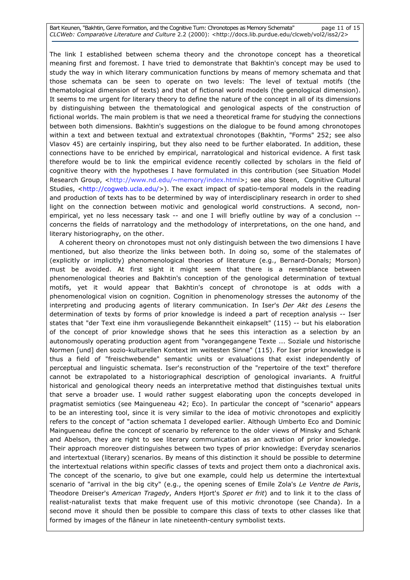Bart Keunen, "Bakhtin, Genre Formation, and the Cognitive Turn: Chronotopes as Memory Schemata" page 11 of 15 CLCWeb: Comparative Literature and Culture 2.2 (2000): <http://docs.lib.purdue.edu/clcweb/vol2/iss2/2>

The link I established between schema theory and the chronotope concept has a theoretical meaning first and foremost. I have tried to demonstrate that Bakhtin's concept may be used to study the way in which literary communication functions by means of memory schemata and that those schemata can be seen to operate on two levels: The level of textual motifs (the thematological dimension of texts) and that of fictional world models (the genological dimension). It seems to me urgent for literary theory to define the nature of the concept in all of its dimensions by distinguishing between the thematological and genological aspects of the construction of fictional worlds. The main problem is that we need a theoretical frame for studying the connections between both dimensions. Bakhtin's suggestions on the dialogue to be found among chronotopes within a text and between textual and extratextual chronotopes (Bakhtin, "Forms" 252; see also Vlasov 45) are certainly inspiring, but they also need to be further elaborated. In addition, these connections have to be enriched by empirical, narratological and historical evidence. A first task therefore would be to link the empirical evidence recently collected by scholars in the field of cognitive theory with the hypotheses I have formulated in this contribution (see Situation Model Research Group, <http://www.nd.edu/~memory/index.html>; see also Steen, Cognitive Cultural Studies, <http://cogweb.ucla.edu/>). The exact impact of spatio-temporal models in the reading and production of texts has to be determined by way of interdisciplinary research in order to shed light on the connection between motivic and genological world constructions. A second, nonempirical, yet no less necessary task -- and one I will briefly outline by way of a conclusion -concerns the fields of narratology and the methodology of interpretations, on the one hand, and literary historiography, on the other.

 A coherent theory on chronotopes must not only distinguish between the two dimensions I have mentioned, but also theorize the links between both. In doing so, some of the stalemates of (explicitly or implicitly) phenomenological theories of literature (e.g., Bernard-Donals; Morson) must be avoided. At first sight it might seem that there is a resemblance between phenomenological theories and Bakhtin's conception of the genological determination of textual motifs, yet it would appear that Bakhtin's concept of chronotope is at odds with a phenomenological vision on cognition. Cognition in phenomenology stresses the autonomy of the interpreting and producing agents of literary communication. In Iser's Der Akt des Lesens the determination of texts by forms of prior knowledge is indeed a part of reception analysis -- Iser states that "der Text eine ihm vorausliegende Bekanntheit einkapselt" (115) -- but his elaboration of the concept of prior knowledge shows that he sees this interaction as a selection by an autonomously operating production agent from "vorangegangene Texte ... Soziale und historische Normen [und] den sozio-kulturellen Kontext im weitesten Sinne" (115). For Iser prior knowledge is thus a field of "freischwebende" semantic units or evaluations that exist independently of perceptual and linguistic schemata. Iser's reconstruction of the "repertoire of the text" therefore cannot be extrapolated to a historiographical description of genological invariants. A fruitful historical and genological theory needs an interpretative method that distinguishes textual units that serve a broader use. I would rather suggest elaborating upon the concepts developed in pragmatist semiotics (see Maingueneau 42; Eco). In particular the concept of "scenario" appears to be an interesting tool, since it is very similar to the idea of motivic chronotopes and explicitly refers to the concept of "action schemata I developed earlier. Although Umberto Eco and Dominic Maingueneau define the concept of scenario by reference to the older views of Minsky and Schank and Abelson, they are right to see literary communication as an activation of prior knowledge. Their approach moreover distinguishes between two types of prior knowledge: Everyday scenarios and intertextual (literary) scenarios. By means of this distinction it should be possible to determine the intertextual relations within specific classes of texts and project them onto a diachronical axis. The concept of the scenario, to give but one example, could help us determine the intertextual scenario of "arrival in the big city" (e.g., the opening scenes of Emile Zola's Le Ventre de Paris, Theodore Dreiser's American Tragedy, Anders Hjort's Sporet er frit) and to link it to the class of realist-naturalist texts that make frequent use of this motivic chronotope (see Chanda). In a second move it should then be possible to compare this class of texts to other classes like that formed by images of the flâneur in late nineteenth-century symbolist texts.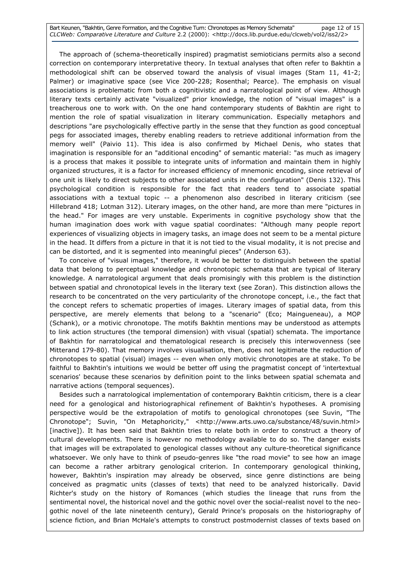Bart Keunen, "Bakhtin, Genre Formation, and the Cognitive Turn: Chronotopes as Memory Schemata" page 12 of 15 CLCWeb: Comparative Literature and Culture 2.2 (2000): <http://docs.lib.purdue.edu/clcweb/vol2/iss2/2>

 The approach of (schema-theoretically inspired) pragmatist semioticians permits also a second correction on contemporary interpretative theory. In textual analyses that often refer to Bakhtin a methodological shift can be observed toward the analysis of visual images (Stam 11, 41-2; Palmer) or imaginative space (see Vice 200-228; Rosenthal; Pearce). The emphasis on visual associations is problematic from both a cognitivistic and a narratological point of view. Although literary texts certainly activate "visualized" prior knowledge, the notion of "visual images" is a treacherous one to work with. On the one hand contemporary students of Bakhtin are right to mention the role of spatial visualization in literary communication. Especially metaphors and descriptions "are psychologically effective partly in the sense that they function as good conceptual pegs for associated images, thereby enabling readers to retrieve additional information from the memory well" (Paivio 11). This idea is also confirmed by Michael Denis, who states that imagination is responsible for an "additional encoding" of semantic material: "as much as imagery is a process that makes it possible to integrate units of information and maintain them in highly organized structures, it is a factor for increased efficiency of mnemonic encoding, since retrieval of one unit is likely to direct subjects to other associated units in the configuration" (Denis 132). This psychological condition is responsible for the fact that readers tend to associate spatial associations with a textual topic -- a phenomenon also described in literary criticism (see Hillebrand 418; Lotman 312). Literary images, on the other hand, are more than mere "pictures in the head." For images are very unstable. Experiments in cognitive psychology show that the human imagination does work with vague spatial coordinates: "Although many people report experiences of visualizing objects in imagery tasks, an image does not seem to be a mental picture in the head. It differs from a picture in that it is not tied to the visual modality, it is not precise and can be distorted, and it is segmented into meaningful pieces" (Anderson 63).

 To conceive of "visual images," therefore, it would be better to distinguish between the spatial data that belong to perceptual knowledge and chronotopic schemata that are typical of literary knowledge. A narratological argument that deals promisingly with this problem is the distinction between spatial and chronotopical levels in the literary text (see Zoran). This distinction allows the research to be concentrated on the very particularity of the chronotope concept, i.e., the fact that the concept refers to schematic properties of images. Literary images of spatial data, from this perspective, are merely elements that belong to a "scenario" (Eco; Maingueneau), a MOP (Schank), or a motivic chronotope. The motifs Bakhtin mentions may be understood as attempts to link action structures (the temporal dimension) with visual (spatial) schemata. The importance of Bakhtin for narratological and thematological research is precisely this interwovenness (see Mitterand 179-80). That memory involves visualisation, then, does not legitimate the reduction of chronotopes to spatial (visual) images -- even when only motivic chronotopes are at stake. To be faithful to Bakhtin's intuitions we would be better off using the pragmatist concept of 'intertextual scenarios' because these scenarios by definition point to the links between spatial schemata and narrative actions (temporal sequences).

 Besides such a narratological implementation of contemporary Bakhtin criticism, there is a clear need for a genological and historiographical refinement of Bakhtin's hypotheses. A promising perspective would be the extrapolation of motifs to genological chronotopes (see Suvin, "The Chronotope"; Suvin, "On Metaphoricity," <http://www.arts.uwo.ca/substance/48/suvin.html> [inactive]). It has been said that Bakhtin tries to relate both in order to construct a theory of cultural developments. There is however no methodology available to do so. The danger exists that images will be extrapolated to genological classes without any culture-theoretical significance whatsoever. We only have to think of pseudo-genres like "the road movie" to see how an image can become a rather arbitrary genological criterion. In contemporary genological thinking, however, Bakhtin's inspiration may already be observed, since genre distinctions are being conceived as pragmatic units (classes of texts) that need to be analyzed historically. David Richter's study on the history of Romances (which studies the lineage that runs from the sentimental novel, the historical novel and the gothic novel over the social-realist novel to the neogothic novel of the late nineteenth century), Gerald Prince's proposals on the historiography of science fiction, and Brian McHale's attempts to construct postmodernist classes of texts based on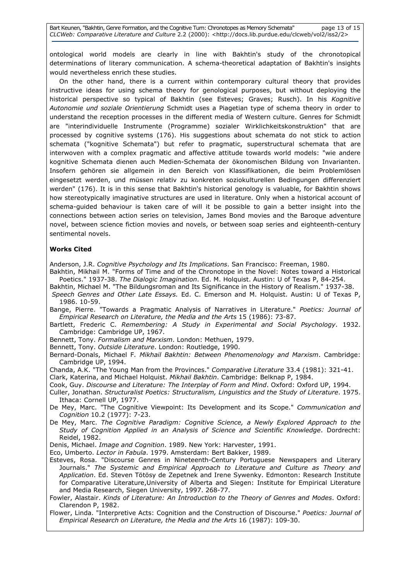ontological world models are clearly in line with Bakhtin's study of the chronotopical determinations of literary communication. A schema-theoretical adaptation of Bakhtin's insights would nevertheless enrich these studies.

 On the other hand, there is a current within contemporary cultural theory that provides instructive ideas for using schema theory for genological purposes, but without deploying the historical perspective so typical of Bakhtin (see Esteves; Graves; Rusch). In his Kognitive Autonomie und soziale Orientierung Schmidt uses a Piagetian type of schema theory in order to understand the reception processes in the different media of Western culture. Genres for Schmidt are "interindividuelle Instrumente (Programme) sozialer Wirklichkeitskonstruktion" that are processed by cognitive systems (176). His suggestions about schemata do not stick to action schemata ("kognitive Schemata") but refer to pragmatic, superstructural schemata that are interwoven with a complex pragmatic and affective attitude towards world models: "wie andere kognitive Schemata dienen auch Medien-Schemata der ökonomischen Bildung von Invarianten. Insofern gehören sie allgemein in den Bereich von Klassifikationen, die beim Problemlösen eingesetzt werden, und müssen relativ zu konkreten soziokulturellen Bedingungen differenziert werden" (176). It is in this sense that Bakhtin's historical genology is valuable, for Bakhtin shows how stereotypically imaginative structures are used in literature. Only when a historical account of schema-guided behaviour is taken care of will it be possible to gain a better insight into the connections between action series on television, James Bond movies and the Baroque adventure novel, between science fiction movies and novels, or between soap series and eighteenth-century sentimental novels.

# Works Cited

Anderson, J.R. Cognitive Psychology and Its Implications. San Francisco: Freeman, 1980.

- Bakhtin, Mikhail M. "Forms of Time and of the Chronotope in the Novel: Notes toward a Historical Poetics." 1937-38. The Dialogic Imagination. Ed. M. Holquist. Austin: U of Texas P, 84-254.
- Bakhtin, Michael M. "The Bildungsroman and Its Significance in the History of Realism." 1937-38. Speech Genres and Other Late Essays. Ed. C. Emerson and M. Holquist. Austin: U of Texas P, 1986. 10-59.

Bange, Pierre. "Towards a Pragmatic Analysis of Narratives in Literature." Poetics: Journal of Empirical Research on Literature, the Media and the Arts 15 (1986): 73-87.

Bartlett, Frederic C. Remembering: A Study in Experimental and Social Psychology. 1932. Cambridge: Cambridge UP, 1967.

Bennett, Tony. Formalism and Marxism. London: Methuen, 1979.

Bennett, Tony. Outside Literature. London: Routledge, 1990.

- Bernard-Donals, Michael F. Mikhail Bakhtin: Between Phenomenology and Marxism. Cambridge: Cambridge UP, 1994.
- Chanda, A.K. "The Young Man from the Provinces." Comparative Literature 33.4 (1981): 321-41. Clark, Katerina, and Michael Holquist. Mikhail Bakhtin. Cambridge: Belknap P, 1984.

Cook, Guy. Discourse and Literature: The Interplay of Form and Mind. Oxford: Oxford UP, 1994.

- Culler, Jonathan. Structuralist Poetics: Structuralism, Linguistics and the Study of Literature. 1975. Ithaca: Cornell UP, 1977.
- De Mey, Marc. "The Cognitive Viewpoint: Its Development and its Scope." Communication and Cognition 10.2 (1977): 7-23.
- De Mey, Marc. The Cognitive Paradigm: Cognitive Science, a Newly Explored Approach to the Study of Cognition Applied in an Analysis of Science and Scientific Knowledge. Dordrecht: Reidel, 1982.
- Denis, Michael. Image and Cognition. 1989. New York: Harvester, 1991.

Eco, Umberto. Lector in Fabula. 1979. Amsterdam: Bert Bakker, 1989.

- Esteves, Rosa. "Discourse Genres in Nineteenth-Century Portuguese Newspapers and Literary Journals." The Systemic and Empirical Approach to Literature and Culture as Theory and Application. Ed. Steven Tötösy de Zepetnek and Irene Sywenky. Edmonton: Research Institute for Comparative Literature,University of Alberta and Siegen: Institute for Empirical Literature and Media Research, Siegen University, 1997. 268-77.
- Fowler, Alastair. Kinds of Literature: An Introduction to the Theory of Genres and Modes. Oxford: Clarendon P, 1982.
- Flower, Linda. "Interpretive Acts: Cognition and the Construction of Discourse." Poetics: Journal of Empirical Research on Literature, the Media and the Arts 16 (1987): 109-30.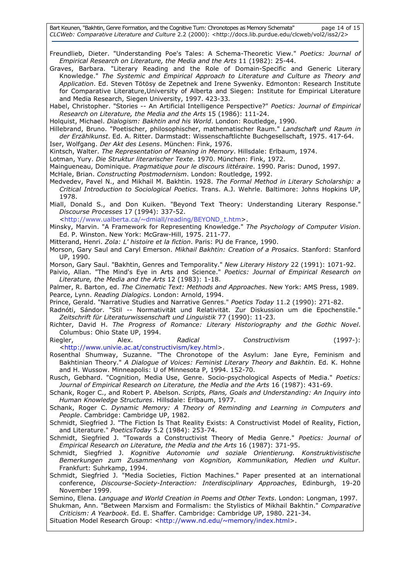Bart Keunen, "Bakhtin, Genre Formation, and the Cognitive Turn: Chronotopes as Memory Schemata" page 14 of 15 CLCWeb: Comparative Literature and Culture 2.2 (2000): <http://docs.lib.purdue.edu/clcweb/vol2/iss2/2>

Freundlieb, Dieter. "Understanding Poe's Tales: A Schema-Theoretic View." Poetics: Journal of Empirical Research on Literature, the Media and the Arts 11 (1982): 25-44.

Graves, Barbara. "Literary Reading and the Role of Domain-Specific and Generic Literary Knowledge." The Systemic and Empirical Approach to Literature and Culture as Theory and Application. Ed. Steven Tötösy de Zepetnek and Irene Sywenky. Edmonton: Research Institute for Comparative Literature,University of Alberta and Siegen: Institute for Empirical Literature and Media Research, Siegen University, 1997. 423-33.

Habel, Christopher. "Stories -- An Artificial Intelligence Perspective?" Poetics: Journal of Empirical Research on Literature, the Media and the Arts 15 (1986): 111-24.

Holquist, Michael. Dialogism: Bakhtin and his World. London: Routledge, 1990.

Hillebrand, Bruno. "Poetischer, philosophischer, mathematischer Raum." Landschaft und Raum in der Erzählkunst. Ed. A. Ritter. Darmstadt: Wissenschaftlichte Buchgesellschaft, 1975. 417-64.

Iser, Wolfgang. Der Akt des Lesens. München: Fink, 1976.

Kintsch, Walter. The Representation of Meaning in Memory. Hillsdale: Erlbaum, 1974.

Lotman, Yury. Die Struktur literarischer Texte. 1970. München: Fink, 1972.

Maingueneau, Dominique. Pragmatique pour le discours littéraire. 1990. Paris: Dunod, 1997.

McHale, Brian. Constructing Postmodernism. London: Routledge, 1992.

- Medvedev, Pavel N., and Mikhail M. Bakhtin. 1928. The Formal Method in Literary Scholarship: a Critical Introduction to Sociological Poetics. Trans. A.J. Wehrle. Baltimore: Johns Hopkins UP, 1978.
- Miall, Donald S., and Don Kuiken. "Beyond Text Theory: Understanding Literary Response." Discourse Processes 17 (1994): 337-52.

<http://www.ualberta.ca/~dmiall/reading/BEYOND\_t.htm>.

Minsky, Marvin. "A Framework for Representing Knowledge." The Psychology of Computer Vision. Ed. P. Winston. New York: McGraw-Hill, 1975. 211-77.

Mitterand, Henri. Zola: L' histoire et la fiction. Paris: PU de France, 1990.

Morson, Gary Saul and Caryl Emerson. Mikhail Bakhtin: Creation of a Prosaics. Stanford: Stanford UP, 1990.

Morson, Gary Saul. "Bakhtin, Genres and Temporality." New Literary History 22 (1991): 1071-92.

Paivio, Allan. "The Mind's Eye in Arts and Science." Poetics: Journal of Empirical Research on Literature, the Media and the Arts 12 (1983): 1-18.

Palmer, R. Barton, ed. The Cinematic Text: Methods and Approaches. New York: AMS Press, 1989. Pearce, Lynn. Reading Dialogics. London: Arnold, 1994.

Prince, Gerald. "Narrative Studies and Narrative Genres." Poetics Today 11.2 (1990): 271-82.

Radnóti, Sándor. "Stil -- Normativität und Relativität. Zur Diskussion um die Epochenstile." Zeitschrift für Literaturwissenschaft und Linguistik 77 (1990): 11-23.

Richter, David H. The Progress of Romance: Literary Historiography and the Gothic Novel. Columbus: Ohio State UP, 1994.

Riegler, Alex. Radical Constructivism (1997-): <http://www.univie.ac.at/constructivism/key.html>.

Rosenthal Shumway, Suzanne. "The Chronotope of the Asylum: Jane Eyre, Feminism and Bakhtinian Theory." A Dialogue of Voices: Feminist Literary Theory and Bakhtin. Ed. K. Hohne and H. Wussow. Minneapolis: U of Minnesota P, 1994. 152-70.

Rusch, Gebhard. "Cognition, Media Use, Genre. Socio-psychological Aspects of Media." Poetics: Journal of Empirical Research on Literature, the Media and the Arts 16 (1987): 431-69.

Schank, Roger C., and Robert P. Abelson. Scripts, Plans, Goals and Understanding: An Inquiry into Human Knowledge Structures. Hillsdale: Erlbaum, 1977.

Schank, Roger C. Dynamic Memory: A Theory of Reminding and Learning in Computers and People. Cambridge: Cambridge UP, 1982.

Schmidt, Siegfried J. "The Fiction Is That Reality Exists: A Constructivist Model of Reality, Fiction, and Literature." PoeticsToday 5.2 (1984): 253-74.

Schmidt, Siegfried J. "Towards a Constructivist Theory of Media Genre." Poetics: Journal of Empirical Research on Literature, the Media and the Arts 16 (1987): 371-95.

- Schmidt, Siegfried J. Kognitive Autonomie und soziale Orientierung. Konstruktivistische Bemerkungen zum Zusammenhang von Kognition, Kommunikation, Medien und Kultur. Frankfurt: Suhrkamp, 1994.
- Schmidt, Siegfried J. "Media Societies, Fiction Machines." Paper presented at an international conference, Discourse-Society-Interaction: Interdisciplinary Approaches, Edinburgh, 19-20 November 1999.

Semino, Elena. Language and World Creation in Poems and Other Texts. London: Longman, 1997. Shukman, Ann. "Between Marxism and Formalism: the Stylistics of Mikhail Bakhtin." Comparative

Criticism: A Yearbook. Ed. E. Shaffer. Cambridge: Cambridge UP, 1980. 221-34.

Situation Model Research Group: <http://www.nd.edu/~memory/index.html>.